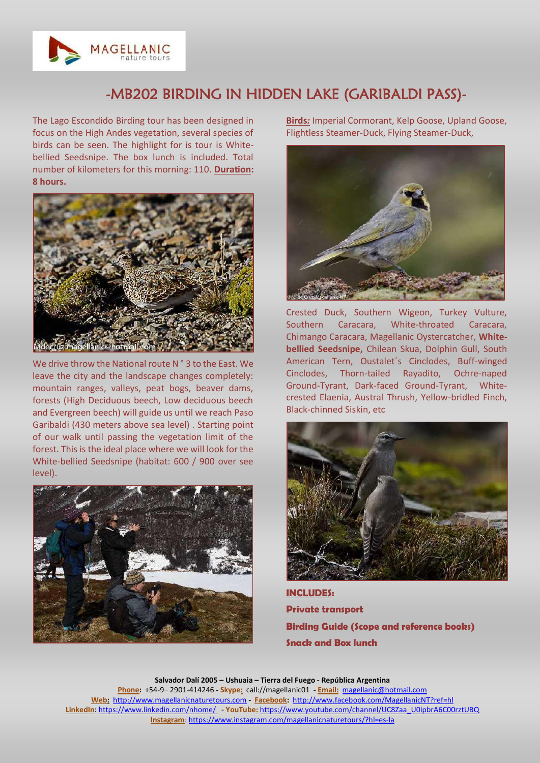

## -MB202 BIRDING IN HIDDEN LAKE (GARIBALDI PASS)-

The Lago Escondido Birding tour has been designed in focus on the High Andes vegetation, several species of birds can be seen. The highlight for is tour is Whitebellied Seedsnipe. The box lunch is included. Total number of kilometers for this morning: 110. **Duration: 8 hours.**



We drive throw the National route N ° 3 to the East. We leave the city and the landscape changes completely: mountain ranges, valleys, peat bogs, beaver dams, forests (High Deciduous beech, Low deciduous beech and Evergreen beech) will guide us until we reach Paso Garibaldi (430 meters above sea level) . Starting point of our walk until passing the vegetation limit of the forest. This is the ideal place where we will look for the White-bellied Seedsnipe (habitat: 600 / 900 over see level).



**Birds***:* Imperial Cormorant, Kelp Goose, Upland Goose, Flightless Steamer-Duck, Flying Steamer-Duck,



Crested Duck, Southern Wigeon, Turkey Vulture, Southern Caracara, White-throated Caracara, Chimango Caracara, Magellanic Oystercatcher, **Whitebellied Seedsnipe,** Chilean Skua, Dolphin Gull, South American Tern, Oustalet΄s Cinclodes, Buff-winged Cinclodes, Thorn-tailed Rayadito, Ochre-naped Ground-Tyrant, Dark-faced Ground-Tyrant, Whitecrested Elaenia, Austral Thrush, Yellow-bridled Finch, Black-chinned Siskin, etc



**INCLUDES: Private transport Birding Guide (Scope and reference books) Snack and Box lunch**

**Salvador Dalí 2005 – Ushuaia – Tierra del Fuego - República Argentina Phone:** +54-9– 2901-414246 **- Skype:** call://magellanic01 **- Email:** [magellanic@hotmail.com](mailto:magellanic01@speedy.com.ar) **Web:** [http://www.magellanicnaturetours.com](http://www.magellanicnaturetours.com/) **- Facebook:** [http://www.facebook.com/MagellanicNT?ref=hl](http://www.facebook.com/MagellanicNT?ref=hll) **LinkedIn**[: https://www.linkedin.com/nhome/](https://www.linkedin.com/nhome/) - **YouTube:** [https://www.youtube.com/channel/UC8Zaa\\_U0ipbrA6C00rztUBQ](https://www.youtube.com/channel/UC8Zaa_U0ipbrA6C00rztUBQ) **Instagram**[: https://www.instagram.com/magellanicnaturetours/?hl=es-la](https://www.instagram.com/magellanicnaturetours/?hl=es-la)